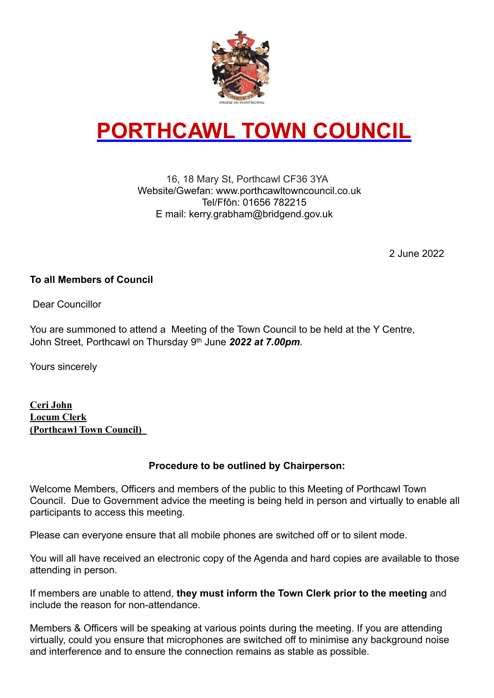

# **PORTHCAWL TOWN COUNCIL**

#### 16, 18 Mary St, Porthcawl CF36 3YA Website/Gwefan: www.porthcawltowncouncil.co.uk Tel/Ffôn: 01656 782215 E mail: kerry.grabham@bridgend.gov.uk

2 June 2022

#### **To all Members of Council**

Dear Councillor

You are summoned to attend a Meeting of the Town Council to be held at the Y Centre, John Street, Porthcawl on Thursday 9th June *2022 at 7.00pm.*

Yours sincerely

**Ceri John Locum Clerk (Porthcawl Town Council)** 

#### **Procedure to be outlined by Chairperson:**

Welcome Members, Officers and members of the public to this Meeting of Porthcawl Town Council. Due to Government advice the meeting is being held in person and virtually to enable all participants to access this meeting.

Please can everyone ensure that all mobile phones are switched off or to silent mode.

You will all have received an electronic copy of the Agenda and hard copies are available to those attending in person.

If members are unable to attend, **they must inform the Town Clerk prior to the meeting** and include the reason for non-attendance.

Members & Officers will be speaking at various points during the meeting. If you are attending virtually, could you ensure that microphones are switched off to minimise any background noise and interference and to ensure the connection remains as stable as possible.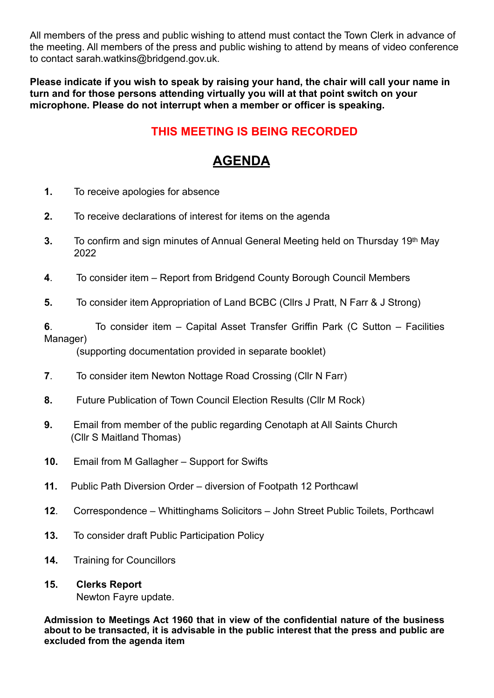All members of the press and public wishing to attend must contact the Town Clerk in advance of the meeting. All members of the press and public wishing to attend by means of video conference to contact sarah.watkins@bridgend.gov.uk.

**Please indicate if you wish to speak by raising your hand, the chair will call your name in turn and for those persons attending virtually you will at that point switch on your microphone. Please do not interrupt when a member or officer is speaking.** 

### **THIS MEETING IS BEING RECORDED**

## **AGENDA**

- **1.** To receive apologies for absence
- **2.** To receive declarations of interest for items on the agenda
- **3.** To confirm and sign minutes of Annual General Meeting held on Thursday 19th May 2022
- **4**. To consider item Report from Bridgend County Borough Council Members
- **5.** To consider item Appropriation of Land BCBC (Cllrs J Pratt, N Farr & J Strong)

**6**. To consider item – Capital Asset Transfer Griffin Park (C Sutton – Facilities Manager)

(supporting documentation provided in separate booklet)

- **7**. To consider item Newton Nottage Road Crossing (Cllr N Farr)
- **8.** Future Publication of Town Council Election Results (Cllr M Rock)
- **9.** Email from member of the public regarding Cenotaph at All Saints Church (Cllr S Maitland Thomas)
- **10.** Email from M Gallagher Support for Swifts
- **11.** Public Path Diversion Order diversion of Footpath 12 Porthcawl
- **12**. Correspondence Whittinghams Solicitors John Street Public Toilets, Porthcawl
- **13.** To consider draft Public Participation Policy
- **14.** Training for Councillors

#### **15. Clerks Report**

Newton Fayre update.

**Admission to Meetings Act 1960 that in view of the confidential nature of the business about to be transacted, it is advisable in the public interest that the press and public are excluded from the agenda item**